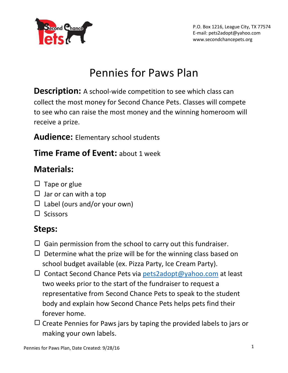

### Pennies for Paws Plan

**Description:** A school-wide competition to see which class can collect the most money for Second Chance Pets. Classes will compete to see who can raise the most money and the winning homeroom will receive a prize.

**Audience:** Elementary school students

#### **Time Frame of Event:** about 1 week

#### **Materials:**

- $\Box$  Tape or glue
- $\Box$  Jar or can with a top
- $\Box$  Label (ours and/or your own)
- $\square$  Scissors

#### **Steps:**

- $\Box$  Gain permission from the school to carry out this fundraiser.
- $\Box$  Determine what the prize will be for the winning class based on school budget available (ex. Pizza Party, Ice Cream Party).
- $\Box$  Contact Second Chance Pets via [pets2adopt@yahoo.com](mailto:pets2adopt@yahoo.com) at least two weeks prior to the start of the fundraiser to request a representative from Second Chance Pets to speak to the student body and explain how Second Chance Pets helps pets find their forever home.
- $\Box$  Create Pennies for Paws jars by taping the provided labels to jars or making your own labels.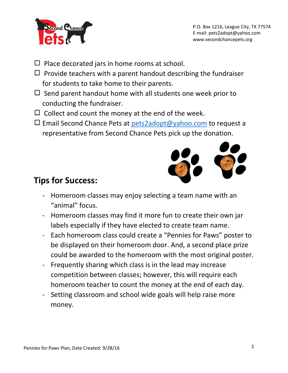

- $\Box$  Place decorated jars in home rooms at school.
- $\Box$  Provide teachers with a parent handout describing the fundraiser for students to take home to their parents.
- $\Box$  Send parent handout home with all students one week prior to conducting the fundraiser.
- $\Box$  Collect and count the money at the end of the week.
- $\Box$  Email Second Chance Pets at [pets2adopt@yahoo.com](mailto:pets2adopt@yahoo.com) to request a representative from Second Chance Pets pick up the donation.



#### **Tips for Success:**

- Homeroom classes may enjoy selecting a team name with an "animal" focus.
- Homeroom classes may find it more fun to create their own jar labels especially if they have elected to create team name.
- Each homeroom class could create a "Pennies for Paws" poster to be displayed on their homeroom door. And, a second place prize could be awarded to the homeroom with the most original poster.
- Frequently sharing which class is in the lead may increase competition between classes; however, this will require each homeroom teacher to count the money at the end of each day.
- Setting classroom and school wide goals will help raise more money.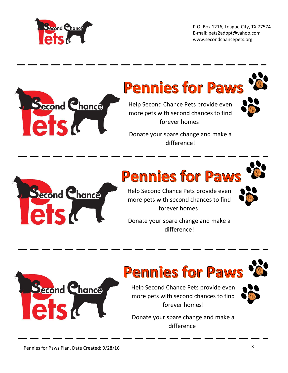

P.O. Box 1216, League City, TX 77574 E-mail: pets2adopt@yahoo.com www.secondchancepets.org



Donate your spare change and make a difference!



## **Pennies for Paws**

Help Second Chance Pets provide even more pets with second chances to find forever homes!



Donate your spare change and make a difference!